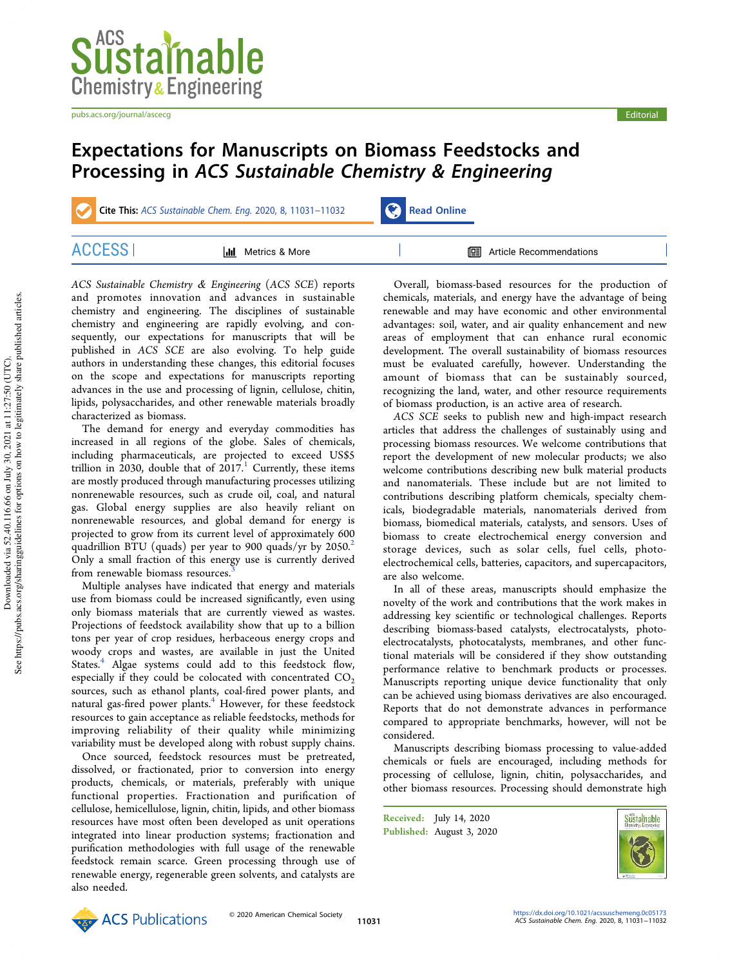

pubs.acs.org/journal/ascecg entertainment of the control of the control of the control entertainment of the control of the control of the control of the control of the control of the control of the control of the control o

# Expectations for Manuscripts on Biomass Feedstocks and Processing in ACS Sustainable Chemistry & Engineering

Cite This: ACS Sustainable Chem. Eng. 2020, 8, 11031-11032 Read Online

|--|

*ACS Sustainable Chemistry* & *Engineering* (*ACS SCE*) reports and promotes innovation and advances in sustainable chemistry and engineering. The disciplines of sustainable chemistry and engineering are rapidly evolving, and consequently, our expectations for manuscripts that will be published in *ACS SCE* are also evolving. To help guide authors in understanding these changes, this editorial focuses on the scope and expectations for manuscripts reporting advances in the use and processing of lignin, cellulose, chitin, lipids, polysaccharides, and other renewable materials broadly characterized as biomass.

The demand for energy and everyday commodities has increased in all regions of the globe. Sales of chemicals, including pharmaceuticals, are projected to exceed US\$5 trillion in 2030, double that of  $2017<sup>1</sup>$  Currently, these items are mostly produced through manufacturing processes utilizing nonrenewable resources, such as crude oil, coal, and natural gas. Global energy supplies are also heavily reliant on nonrenewable resources, and global demand for energy is projected to grow from its current level of approximately 600 quadrillion BTU (quads) per year to 900 quads/yr by  $2050$ <sup>2</sup> Only a small fraction of this energy use is currently derived from renewable biomass resources.

Multiple analyses have indicated that energy and materials use from biomass could be increased significantly, even using only biomass materials that are currently viewed as wastes. Projections of feedstock availability show that up to a billion tons per year of crop residues, herbaceous energy crops and woody crops and wastes, are available in just the United States.<sup>4</sup> Algae systems could add to this feedstock flow, especially if they could be colocated with concentrated  $CO<sub>2</sub>$ sources, such as ethanol plants, coal-fired power plants, and natural gas-fired power plants.<sup>4</sup> However, for these feedstock resources to gain acceptance as reliable feedstocks, methods for improving reliability of their quality while minimizing variability must be developed along with robust supply chains.

Once sourced, feedstock resources must be pretreated, dissolved, or fractionated, prior to conversion into energy products, chemicals, or materials, preferably with unique functional properties. Fractionation and purification of cellulose, hemicellulose, lignin, chitin, lipids, and other biomass resources have most often been developed as unit operations integrated into linear production systems; fractionation and purification methodologies with full usage of the renewable feedstock remain scarce. Green processing through use of renewable energy, regenerable green solvents, and catalysts are also needed.

Overall, biomass-based resources for the production of chemicals, materials, and energy have the advantage of being renewable and may have economic and other environmental advantages: soil, water, and air quality enhancement and new areas of employment that can enhance rural economic development. The overall sustainability of biomass resources must be evaluated carefully, however. Understanding the amount of biomass that can be sustainably sourced, recognizing the land, water, and other resource requirements of biomass production, is an active area of research.

*ACS SCE* seeks to publish new and high-impact research articles that address the challenges of sustainably using and processing biomass resources. We welcome contributions that report the development of new molecular products; we also welcome contributions describing new bulk material products and nanomaterials. These include but are not limited to contributions describing platform chemicals, specialty chemicals, biodegradable materials, nanomaterials derived from biomass, biomedical materials, catalysts, and sensors. Uses of biomass to create electrochemical energy conversion and storage devices, such as solar cells, fuel cells, photoelectrochemical cells, batteries, capacitors, and supercapacitors, are also welcome.

In all of these areas, manuscripts should emphasize the novelty of the work and contributions that the work makes in addressing key scientific or technological challenges. Reports describing biomass-based catalysts, electrocatalysts, photoelectrocatalysts, photocatalysts, membranes, and other functional materials will be considered if they show outstanding performance relative to benchmark products or processes. Manuscripts reporting unique device functionality that only can be achieved using biomass derivatives are also encouraged. Reports that do not demonstrate advances in performance compared to appropriate benchmarks, however, will not be considered.

Manuscripts describing biomass processing to value-added chemicals or fuels are encouraged, including methods for processing of cellulose, lignin, chitin, polysaccharides, and other biomass resources. Processing should demonstrate high

Received: July 14, 2020 Published: August 3, 2020